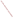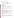# **Technical Factsheet on: 2,4,5 - TP**

## [List of Contaminants](http://www.epa.gov/safewater/hfacts.html)

 As part of the Drinking Water and Health pages, this fact sheet is part of a larger publication: **National Primary Drinking Water Regulations** 

 MCL: 0.05 mg/L HAL(child): 1- to 10-day: 0.2 mg/L; Longer-term: 0.07 mg/L Drinking Water Standards MCLG: 0.05 mg/L

### **Health Effects Summary**

 levels above the MCL: depression and other nervous system effects, weakness, stomach irritation and Acute: EPA has found 2,4,5-TP to potentially cause the following health effects from acute exposures at minor damage to liver and kidneys.

 consuming 1 liter of water per day, a one- to ten-day exposure to 0.2 mg/L or upto a 7-year exposure to Drinking water levels which are considered "safe" for short-term exposures: For a 10-kg (22 lb.) child 0.07 mg/L.

 levels above the MCL: minor liver and kidney damage. Chronic: 2,4,5-TP has the potential to cause the following health effects from long-term exposures at

 Cancer: There is inadequate evidence to state whether or not 2,4,5-TP has the potential to cause cancer from a lifetime exposure in drinking water.

### **Usage Patterns**

 cancellation of all registered uses effective Jan 2, 1985. In 1982, 2,4,5-TP production was 500,000 pounds, with industrial/commercial herbicide consuming 60%; range and pastureland use consuming 40%. The amount of silvex used annually in the U.S. prior to 1983 was estimated in 1985 to be 7,000 pounds. At present, however, silvex is not used in the U.S. due to the

 The greatest use of 2,4,5-TP was as a postemergence herbicide for control of woody plants, and broadleaf herbaceous weeds in rice and bluegrass turf, in sugarcane, in rangeland improvement programs, on lawns. Aquatic uses include control of weeds in ditches and riverbanks, on floodways, along canals, reservoirs, streams, and along southern waterways.

### **Release Patterns**

Former sources of release include spraying from application of the herbicide formulations, runoff from fields, and direct release to water for control of aquatic weeds. It may also have been released as the result of hydrolysis of esters of silvex.

### **Environmental Fate**

 When released on land, silvex will strongly adsorb to soils and biodegrade, but is not expected to leach, very well adsorbed to essentially completely adsorbed in soils (reported Koc value of 2600). Average halfhydrolyze, or evaporate. It may be lost due to runoff from treated fields. Silvex has been reported to be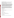lives for biodegradation of silvex in soils ranged from 12 days for 3 prairie soils to 17 days. Negligible degradation was observed in air-dried soils.

 biodegradation will occur. The loss due to volatilization of silvex from aqueous and soil systems will not If released to water, silvex will biodegrade slowly and strongly adsorb to sediment, where slow be significant due to its low vapor pressure of the acid. It will not appreciably hydrolyze but may be subject to photooxidation near the surface of waters.

 While no data concerning the rate of biodegradation in water were found, available information suggests product of the biodegradation of silvex. From limited data available, it may be concluded that any phenoxy herbicide, whether applied as ester or as dimethylamine salt formulations, may be chemically transformed presumably reassociate with a variety of inorganic cations present in the soil to maintain electrical from the atmosphere mainly by rainout and dry deposition. Vapor phase photooxidation by reaction with that silvex is degraded slowly both in water and sediments. 2,4,5-Trichlorophenol has been identified as a to the same phenoxyalkanoic anion in soil and water at rates dependent on pH. These anions would neutrality, and then undergo leaching and biological degradation. Silvex may be released to air during spraying operations but not as a result of evaporation due to its very low vapor pressure. It will be lost photochemically produced hydroxyl radicals may be significant (estimated half-life 6.3 hrs).

 fish in flowing water. Agricultural workers may have been exposed to silvex during spraying operations Bioconcentration of silvex will not be significant based with a reported bioconcentration factor of 58 for using herbicides containing this chemical. Exposure may have also occurred through consumption of contaminated foods, including fruits and milk. At present, however, no workers are expected to be exposed to silvex during application of herbicides because all registered uses of silvex were canceled effective Jan 2, 1985.

#### **Chemical/ Physical Properties**

CAS Number: 93-72-1

Color/ Form/Odor: White powder with little odor; available in granules, solutions and tablets as the amine or sodium emulsifiable salts & various esters.

M.P.: 181.6 C B.P.: N/A

Vapor Pressure: N/A

Octanol/Water Partition (Kow): N/A

Density/Spec. Grav.: 1.21 at 20 C

Solubility: 200 mg/L of water at 25 C; Slightly soluble in water

Soil sorption coefficient: Koc reported at 2600; Very low mobility in soil M.P.: 181.6 C B.P.: N/A<br>Vapor Pressure: N/A<br>Octanol/Water Partition (Kow): N/A<br>Density/Spec. Grav.: 1.21 at 20 C<br>Solubility: 200 mg/L of water at 25 C; Slightly soluble in water<br>Soil sorption coefficient: Koc reported at 2

Odor/Taste Thresholds: N/A

Henry's Law Coefficient: N/A

Bioconcentration Factor: BCF=58 in fish; not expected to bioconcentrate in aquatic organisms.